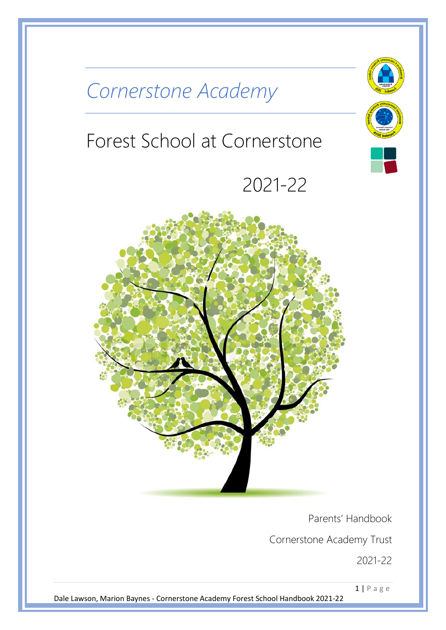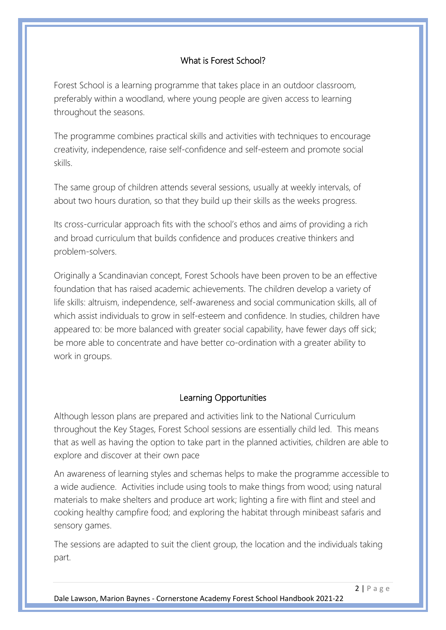## What is Forest School?

Forest School is a learning programme that takes place in an outdoor classroom, preferably within a woodland, where young people are given access to learning throughout the seasons.

The programme combines practical skills and activities with techniques to encourage creativity, independence, raise self-confidence and self-esteem and promote social skills.

The same group of children attends several sessions, usually at weekly intervals, of about two hours duration, so that they build up their skills as the weeks progress.

Its cross-curricular approach fits with the school's ethos and aims of providing a rich and broad curriculum that builds confidence and produces creative thinkers and problem-solvers.

Originally a Scandinavian concept, Forest Schools have been proven to be an effective foundation that has raised academic achievements. The children develop a variety of life skills: altruism, independence, self-awareness and social communication skills, all of which assist individuals to grow in self-esteem and confidence. In studies, children have appeared to: be more balanced with greater social capability, have fewer days off sick; be more able to concentrate and have better co-ordination with a greater ability to work in groups.

## Learning Opportunities

Although lesson plans are prepared and activities link to the National Curriculum throughout the Key Stages, Forest School sessions are essentially child led. This means that as well as having the option to take part in the planned activities, children are able to explore and discover at their own pace

An awareness of learning styles and schemas helps to make the programme accessible to a wide audience. Activities include using tools to make things from wood; using natural materials to make shelters and produce art work; lighting a fire with flint and steel and cooking healthy campfire food; and exploring the habitat through minibeast safaris and sensory games.

The sessions are adapted to suit the client group, the location and the individuals taking part.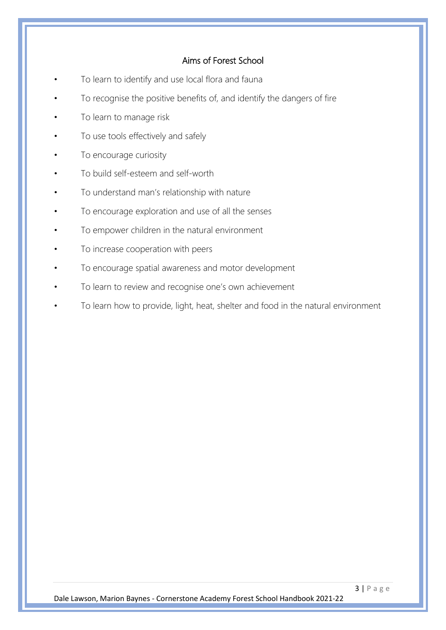## Aims of Forest School

- To learn to identify and use local flora and fauna
- To recognise the positive benefits of, and identify the dangers of fire
- To learn to manage risk
- To use tools effectively and safely
- To encourage curiosity
- To build self-esteem and self-worth
- To understand man's relationship with nature
- To encourage exploration and use of all the senses
- To empower children in the natural environment
- To increase cooperation with peers
- To encourage spatial awareness and motor development
- To learn to review and recognise one's own achievement
- To learn how to provide, light, heat, shelter and food in the natural environment